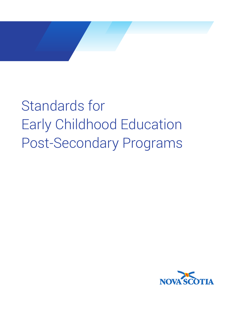

Standards for Early Childhood Education Post-Secondary Programs

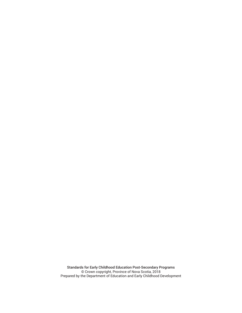Standards for Early Childhood Education Post-Secondary Programs © Crown copyright, Province of Nova Scotia, 2018 Prepared by the Department of Education and Early Childhood Development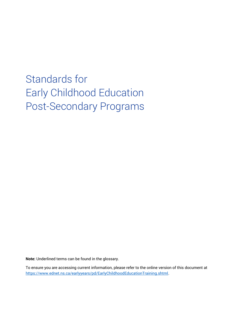# Standards for Early Childhood Education Post-Secondary Programs

**Note:** Underlined terms can be found in the glossary.

To ensure you are accessing current information, please refer to the online version of this document at [https://www.ednet.ns.ca/earlyyears/pd/EarlyChildhoodEducationTraining.shtml.](https://www.ednet.ns.ca/earlyyears/pd/EarlyChildhoodEducationTraining.shtml)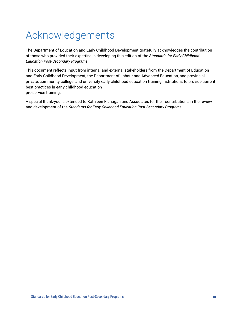# Acknowledgements

The Department of Education and Early Childhood Development gratefully acknowledges the contribution of those who provided their expertise in developing this edition of the *Standards for Early Childhood Education Post-Secondary Programs*.

This document reflects input from internal and external stakeholders from the Department of Education and Early Childhood Development, the Department of Labour and Advanced Education, and provincial private, community college, and university early childhood education training institutions to provide current best practices in early childhood education pre-service training.

A special thank-you is extended to Kathleen Flanagan and Associates for their contributions in the review and development of the *Standards for Early Childhood Education Post-Secondary Programs*.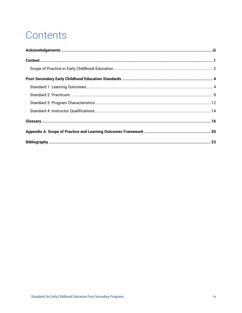# Contents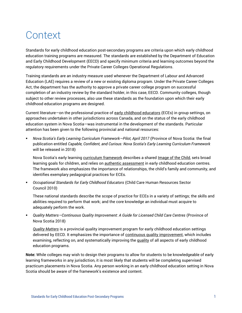# **Context**

Standards for early childhood education post-secondary programs are criteria upon which early childhood education training programs are measured. The standards are established by the Department of Education and Early Childhood Development (EECD) and specify minimum criteria and learning outcomes beyond the regulatory requirements under the Private Career Colleges Operational Regulations.

Training standards are an industry measure used whenever the Department of Labour and Advanced Education (LAE) requires a review of a new or existing diploma program. Under the Private Career Colleges Act, the department has the authority to approve a private career college program on successful completion of an industry review by the standard holder, in this case, EECD. Community colleges, though subject to other review processes, also use these standards as the foundation upon which their early childhood education programs are designed.

Current literature—on the professional practice of early childhood educators (ECEs) in group settings, on approaches undertaken in other jurisdictions across Canada, and on the status of the early childhood education system in Nova Scotia—was instrumental in the development of the standards. Particular attention has been given to the following provincial and national resources:

▪ *Nova Scotia's Early Learning Curriculum Framework—Pilot, April 2017* (Province of Nova Scotia: the final publication entitled *Capable, Confident, and Curious: Nova Scotia's Early Learning Curriculum Framework* will be released in 2018)

Nova Scotia's early learning curriculum framework describes a shared Image of the Child, sets broad learning goals for children, and relies on authentic assessment in early childhood education centres. The framework also emphasizes the importance of relationships, the child's family and community, and identifies exemplary pedagogical practices for ECEs.

▪ *Occupational Standards for Early Childhood Educators* (Child Care Human Resources Sector Council 2010)

These national standards describe the scope of practice for ECEs in a variety of settings; the skills and abilities required to perform that work; and the core knowledge an individual must acquire to adequately perform the work.

▪ *Quality Matters—Continuous Quality Improvement: A Guide for Licensed Child Care Centres* (Province of Nova Scotia 2018)

*Quality Matters* is a provincial quality improvement program for early childhood education settings delivered by EECD. It emphasizes the importance of continuous quality improvement, which includes examining, reflecting on, and systematically improving the quality of all aspects of early childhood education programs.

**Note:** While colleges may wish to design their programs to allow for students to be knowledgeable of early learning frameworks in any jurisdiction, it is most likely that students will be completing supervised practicum placements in Nova Scotia. Any person working in an early childhood education setting in Nova Scotia should be aware of the framework's existence and content.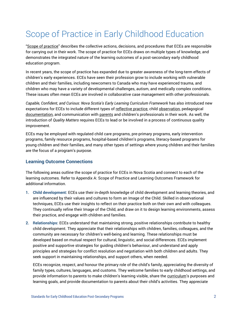# Scope of Practice in Early Childhood Education

"Scope of practice" describes the collective actions, decisions, and procedures that ECEs are responsible for carrying out in their work. The scope of practice for ECEs draws on multiple types of knowledge, and demonstrates the integrated nature of the learning outcomes of a post-secondary early childhood education program.

In recent years, the scope of practice has expanded due to greater awareness of the long-term effects of children's early experiences. ECEs have seen their profession grow to include working with vulnerable children and their families, including newcomers to Canada who may have experienced trauma, and children who may have a variety of developmental challenges, autism, and medically complex conditions. These issues often mean ECEs are involved in collaborative case management with other professionals.

*Capable, Confident, and Curious: Nova Scotia's Early Learning Curriculum Framework* has also introduced new expectations for ECEs to include different types of reflective practice, child observation, pedagogical documentation, and communication with parents and children's professionals in their work. As well, the introduction of *Quality Matters* requires ECEs to lead or be involved in a process of continuous quality improvement.

ECEs may be employed with regulated child care programs, pre-primary programs, early intervention programs, family resource programs, hospital-based children's programs, literacy-based programs for young children and their families, and many other types of settings where young children and their families are the focus of a program's purpose.

## **Learning Outcome Connections**

The following areas outline the scope of practice for ECEs in Nova Scotia and connect to each of the learning outcomes. Refer to Appendix A: Scope of Practice and Learning Outcomes Framework for additional information.

- **1. Child development:** ECEs use their in-depth knowledge of child development and learning theories, and are influenced by their values and cultures to form an Image of the Child. Skilled in observational techniques, ECEs use their insights to reflect on their practice both on their own and with colleagues. They continually refine their Image of the Child, and draw on it to design learning environments, assess their practice, and engage with children and families.
- **2. Relationships:** ECEs understand that maintaining strong, positive relationships contribute to healthy child development. They appreciate that their relationships with children, families, colleagues, and the community are necessary for children's well-being and learning. These relationships must be developed based on mutual respect for cultural, linguistic, and social differences. ECEs implement positive and supportive strategies for guiding children's behaviour, and understand and apply principles and strategies for conflict resolution and negotiation with both children and adults. They seek support in maintaining relationships, and support others, when needed.

ECEs recognize, respect, and honour the primary role of the child's family, appreciating the diversity of family types, cultures, languages, and customs. They welcome families to early childhood settings, and provide information to parents to make children's learning visible, share the curriculum's purposes and learning goals, and provide documentation to parents about their child's activities. They appreciate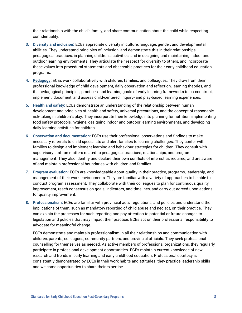their relationship with the child's family, and share communication about the child while respecting confidentiality.

- **3. Diversity and inclusion:** ECEs appreciate diversity in culture, language, gender, and developmental abilities. They understand principles of inclusion, and demonstrate this in their relationships, pedagogical practices, in planning children's activities, and in designing and maintaining indoor and outdoor learning environments. They articulate their respect for diversity to others, and incorporate these values into procedural statements and observable practices for their early childhood education programs.
- **4. Pedagogy:** ECEs work collaboratively with children, families, and colleagues. They draw from their professional knowledge of child development, daily observation and reflection, learning theories, and the pedagogical principles, practices, and learning goals of early learning frameworks to co-construct, implement, document, and assess child-centered, inquiry- and play-based learning experiences.
- **5. Health and safety:** ECEs demonstrate an understanding of the relationship between human development and principles of health and safety, universal precautions, and the concept of reasonable risk-taking in children's play. They incorporate their knowledge into planning for nutrition, implementing food safety protocols, hygiene, designing indoor and outdoor learning environments, and developing daily learning activities for children.
- **6. Observation and documentation:** ECEs use their professional observations and findings to make necessary referrals to child specialists and alert families to learning challenges. They confer with families to design and implement learning and behaviour strategies for children. They consult with supervisory staff on matters related to pedagogical practices, relationships, and program management. They also identify and declare their own conflicts of interest as required, and are aware of and maintain professional boundaries with children and families.
- **7. Program evaluation:** ECEs are knowledgeable about quality in their practice, programs, leadership, and management of their work environments. They are familiar with a variety of approaches to be able to conduct program assessment. They collaborate with their colleagues to plan for continuous quality improvement, reach consensus on goals, indicators, and timelines, and carry out agreed-upon actions for quality improvement.
- **8. Professionalism:** ECEs are familiar with provincial acts, regulations, and policies and understand the implications of them, such as mandatory reporting of child abuse and neglect, on their practice. They can explain the processes for such reporting and pay attention to potential or future changes to legislation and policies that may impact their practice. ECEs act on their professional responsibility to advocate for meaningful change.

ECEs demonstrate and maintain professionalism in all their relationships and communication with children, parents, colleagues, community partners, and provincial officials. They seek professional counselling for themselves as needed. As active members of professional organizations, they regularly participate in professional development opportunities. ECEs maintain current knowledge of new research and trends in early learning and early childhood education. Professional courtesy is consistently demonstrated by ECEs in their work habits and attitudes; they practice leadership skills and welcome opportunities to share their expertise.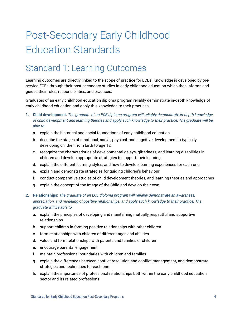# Post-Secondary Early Childhood Education Standards

# Standard 1: Learning Outcomes

Learning outcomes are directly linked to the scope of practice for ECEs. Knowledge is developed by preservice ECEs through their post-secondary studies in early childhood education which then informs and guides their roles, responsibilities, and practices.

Graduates of an early childhood education diploma program reliably demonstrate in-depth knowledge of early childhood education and apply this knowledge to their practices.

- **1. Child development:** *The graduate of an ECE diploma program will reliably demonstrate in-depth knowledge of child development and learning theories and apply such knowledge to their practice. The graduate will be able to* 
	- a. explain the historical and social foundations of early childhood education
	- b. describe the stages of emotional, social, physical, and cognitive development in typically developing children from birth to age 12
	- c. recognize the characteristics of developmental delays, giftedness, and learning disabilities in children and develop appropriate strategies to support their learning
	- d. explain the different learning styles, and how to develop learning experiences for each one
	- e. explain and demonstrate strategies for guiding children's behaviour
	- f. conduct comparative studies of child development theories, and learning theories and approaches
	- g. explain the concept of the Image of the Child and develop their own
- **2. Relationships:** *The graduate of an ECE diploma program will reliably demonstrate an awareness, appreciation, and modeling of positive relationships, and apply such knowledge to their practice. The graduate will be able to*
	- a. explain the principles of developing and maintaining mutually respectful and supportive relationships
	- b. support children in forming positive relationships with other children
	- c. form relationships with children of different ages and abilities
	- d. value and form relationships with parents and families of children
	- e. encourage parental engagement
	- f. maintain professional boundaries with children and families
	- g. explain the differences between conflict resolution and conflict management, and demonstrate strategies and techniques for each one
	- h. explain the importance of professional relationships both within the early childhood education sector and its related professions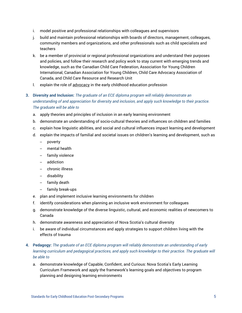- i. model positive and professional relationships with colleagues and supervisors
- j. build and maintain professional relationships with boards of directors, management, colleagues, community members and organizations, and other professionals such as child specialists and teachers
- k. be a member of provincial or regional professional organizations and understand their purposes and policies, and follow their research and policy work to stay current with emerging trends and knowledge, such as the Canadian Child Care Federation, Association for Young Children International, Canadian Association for Young Children, Child Care Advocacy Association of Canada, and Child Care Resource and Research Unit
- l. explain the role of advocacy in the early childhood education profession
- **3. Diversity and Inclusion:** *The graduate of an ECE diploma program will reliably demonstrate an understanding of and appreciation for diversity and inclusion, and apply such knowledge to their practice. The graduate will be able to*
	- a. apply theories and principles of inclusion in an early learning environment
	- b. demonstrate an understanding of socio-cultural theories and influences on children and families
	- c. explain how linguistic abilities, and social and cultural influences impact learning and development
	- d. explain the impacts of familial and societal issues on children's learning and development, such as
		- poverty
		- mental health
		- family violence
		- addiction
		- chronic illness
		- disability
		- family death
		- family break-ups
	- e. plan and implement inclusive learning environments for children
	- f. identify considerations when planning an inclusive work environment for colleagues
	- g. demonstrate knowledge of the diverse linguistic, cultural, and economic realities of newcomers to Canada
	- h. demonstrate awareness and appreciation of Nova Scotia's cultural diversity
	- i. be aware of individual circumstances and apply strategies to support children living with the effects of trauma

### **4. Pedagogy:** *The graduate of an ECE diploma program will reliably demonstrate an understanding of early learning curriculum and pedagogical practices, and apply such knowledge to their practice. The graduate will be able to*

a. demonstrate knowledge of Capable, Confident, and Curious: Nova Scotia's Early Learning Curriculum Framework and apply the framework's learning goals and objectives to program planning and designing learning environments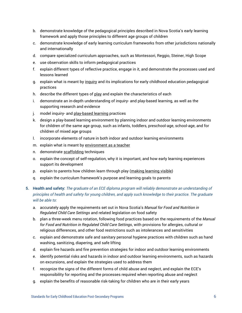- b. demonstrate knowledge of the pedagogical principles described in Nova Scotia's early learning framework and apply those principles to different age groups of children
- c. demonstrate knowledge of early learning curriculum frameworks from other jurisdictions nationally and internationally
- d. compare specialized curriculum approaches, such as Montessori, Reggio, Steiner, High Scope
- e. use observation skills to inform pedagogical practices
- f. explain different types of reflective practice, engage in it, and demonstrate the processes used and lessons learned
- g. explain what is meant by inquiry and its implications for early childhood education pedagogical practices
- h. describe the different types of play and explain the characteristics of each
- i. demonstrate an in-depth understanding of inquiry- and play-based learning, as well as the supporting research and evidence
- j. model inquiry- and play-based learning practices
- k. design a play-based learning environment by planning indoor and outdoor learning environments for children of the same age group, such as infants, toddlers, preschool-age, school-age, and for children of mixed age groups
- l. incorporate elements of nature in both indoor and outdoor learning environments
- m. explain what is meant by environment as a teacher
- n. demonstrate scaffolding techniques
- o. explain the concept of self-regulation, why it is important, and how early learning experiences support its development
- p. explain to parents how children learn through play (making learning visible)
- q. explain the curriculum framework's purpose and learning goals to parents

### **5. Health and safety:** *The graduate of an ECE diploma program will reliably demonstrate an understanding of principles of health and safety for young children, and apply such knowledge to their practice. The graduate will be able to:*

- a. accurately apply the requirements set out in Nova Scotia's *Manual for Food and Nutrition in Regulated Child Care Settings* and related legislation on food safety
- b. plan a three-week menu rotation, following food practices based on the requirements of the *Manual for Food and Nutrition in Regulated Child Care Settings*, with provisions for allergies, cultural or religious differences, and other food restrictions such as intolerances and sensitivities
- c. explain and demonstrate safe and sanitary personal hygiene practices with children such as hand washing, sanitizing, diapering, and safe lifting
- d. explain fire hazards and fire prevention strategies for indoor and outdoor learning environments
- e. identify potential risks and hazards in indoor and outdoor learning environments, such as hazards on excursions, and explain the strategies used to address them
- f. recognize the signs of the different forms of child abuse and neglect, and explain the ECE's responsibility for reporting and the processes required when reporting abuse and neglect
- g. explain the benefits of reasonable risk-taking for children who are in their early years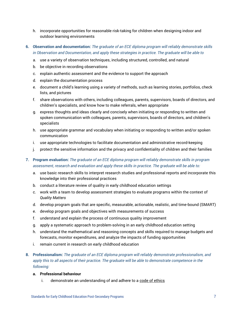- h. incorporate opportunities for reasonable risk-taking for children when designing indoor and outdoor learning environments
- **6. Observation and documentation:** *The graduate of an ECE diploma program will reliably demonstrate skills in Observation and Documentation, and apply these strategies in practice. The graduate will be able to*
	- a. use a variety of observation techniques, including structured, controlled, and natural
	- b. be objective in recording observations
	- c. explain authentic assessment and the evidence to support the approach
	- d. explain the documentation process
	- e. document a child's learning using a variety of methods, such as learning stories, portfolios, check lists, and pictures
	- f. share observations with others, including colleagues, parents, supervisors, boards of directors, and children's specialists, and know how to make referrals, when appropriate
	- g. express thoughts and ideas clearly and concisely when initiating or responding to written and spoken communication with colleagues, parents, supervisors, boards of directors, and children's specialists
	- h. use appropriate grammar and vocabulary when initiating or responding to written and/or spoken communication
	- i. use appropriate technologies to facilitate documentation and administrative record-keeping
	- j. protect the sensitive information and the privacy and confidentiality of children and their families
- **7. Program evaluation:** *The graduate of an ECE diploma program will reliably demonstrate skills in program assessment, research and evaluation and apply these skills in practice. The graduate will be able to:*
	- a. use basic research skills to interpret research studies and professional reports and incorporate this knowledge into their professional practices
	- b. conduct a literature review of quality in early childhood education settings
	- c. work with a team to develop assessment strategies to evaluate programs within the context of *Quality Matters*
	- d. develop program goals that are specific, measurable, actionable, realistic, and time-bound (SMART)
	- e. develop program goals and objectives with measurements of success
	- f. understand and explain the process of continuous quality improvement
	- g. apply a systematic approach to problem-solving in an early childhood education setting
	- h. understand the mathematical and reasoning concepts and skills required to manage budgets and forecasts, monitor expenditures, and analyze the impacts of funding opportunities
	- i. remain current in research on early childhood education
- **8. Professionalism:** *The graduate of an ECE diploma program will reliably demonstrate professionalism, and apply this to all aspects of their practice. The graduate will be able to demonstrate competence in the following:*

#### **a. Professional behaviour**

i. demonstrate an understanding of and adhere to a code of ethics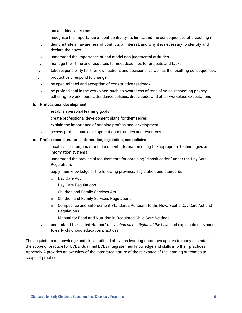- ii. make ethical decisions
- iii. recognize the importance of confidentiality, its limits, and the consequences of breaching it
- iv. demonstrate an awareness of conflicts of interest, and why it is necessary to identify and declare their own
- v. understand the importance of and model non-judgmental attitudes
- vi. manage their time and resources to meet deadlines for projects and tasks
- vii. take responsibility for their own actions and decisions, as well as the resulting consequences
- viii. productively respond to change
- ix. be open-minded and accepting of constructive feedback
- x. be professional in the workplace, such as awareness of tone of voice, respecting privacy, adhering to work hours, attendance policies, dress code, and other workplace expectations

#### **b. Professional development**

- i. establish personal learning goals
- ii. create professional development plans for themselves
- iii. explain the importance of ongoing professional development
- iv. access professional development opportunities and resources

#### **c. Professional literature, information, legislation, and policies**

- i. locate, select, organize, and document information using the appropriate technologies and information systems
- ii. understand the provincial requirements for obtaining "classification" under the Day Care **Regulations**
- iii. apply their knowledge of the following provincial legislation and standards
	- o Day Care Act
	- o Day Care Regulations
	- o Children and Family Services Act
	- o Children and Family Services Regulations
	- $\circ$  Compliance and Enforcement Standards Pursuant to the Nova Scotia Day Care Act and **Regulations**
	- o Manual for Food and Nutrition in Regulated Child Care Settings
- iv. understand the United Nations' *Convention on the Rights of the Child* and explain its relevance to early childhood education practices

The acquisition of knowledge and skills outlined above as learning outcomes applies to many aspects of the scope of practice for ECEs. Qualified ECEs integrate their knowledge and skills into their practices. Appendix A provides an overview of the integrated nature of the relevance of the learning outcomes to scope of practice.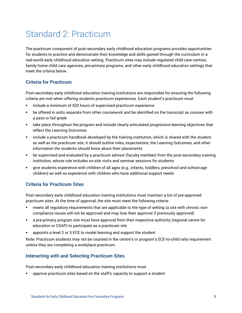# Standard 2: Practicum

The practicum component of post-secondary early childhood education programs provides opportunities for students to practice and demonstrate their knowledge and skills gained through the curriculum in a real-world early childhood education setting. Practicum sites may include regulated child care centres, family home child care agencies, pre-primary programs, and other early childhood education settings that meet the criteria below.

# **Criteria for Practicum**

Post-secondary early childhood education training institutions are responsible for ensuring the following criteria are met when offering students practicum experiences. Each student's practicum must

- include a minimum of 520 hours of supervised practicum experience
- be offered in units separate from other coursework and be identified on the transcript as courses with a pass or fail grade
- **■** take place throughout the program and include clearly articulated progressive learning objectives that reflect the Learning Outcomes
- include a practicum handbook developed by the training institution, which is shared with the student, as well as the practicum site; it should outline roles, expectations, the Learning Outcomes, and other information the students should know about their placements
- be supervised and evaluated by a practicum advisor (faculty member) from the post-secondary training institution, whose role includes on-site visits and seminar sessions for students
- give students experience with children of all ages (e.g., infants, toddlers, preschool and school-age children) as well as experience with children who have additional support needs

## **Criteria for Practicum Sites**

Post-secondary early childhood education training institutions must maintain a list of pre-approved practicum sites. At the time of approval, the site must meet the following criteria:

- meets all regulatory reguirements that are applicable to the type of setting (a site with chronic noncompliance issues will not be approved and may lose their approval if previously approved)
- a pre-primary program site must have approval from their respective authority (regional centre for education or CSAP) to participate as a practicum site
- appoints a level 2 or 3 ECE to model learning and support the student

Note: Practicum students may not be counted in the centre's or program's ECE-to-child ratio requirement unless they are completing a workplace practicum.

## **Interacting with and Selecting Practicum Sites**

Post-secondary early childhood education training institutions must

approve practicum sites based on the staff's capacity to support a student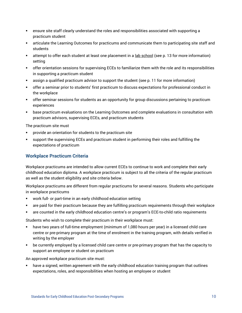- **•** ensure site staff clearly understand the roles and responsibilities associated with supporting a practicum student
- articulate the Learning Outcomes for practicums and communicate them to participating site staff and students
- attempt to offer each student at least one placement in a lab school (see p. 13 for more information) setting
- offer orientation sessions for supervising ECEs to familiarize them with the role and its responsibilities in supporting a practicum student
- assign a qualified practicum advisor to support the student (see p. 11 for more information)
- offer a seminar prior to students' first practicum to discuss expectations for professional conduct in the workplace
- **•** offer seminar sessions for students as an opportunity for group discussions pertaining to practicum experiences
- **■** base practicum evaluations on the Learning Outcomes and complete evaluations in consultation with practicum advisors, supervising ECEs, and practicum students

The practicum site must

- provide an orientation for students to the practicum site
- support the supervising ECEs and practicum student in performing their roles and fulfilling the expectations of practicum

## **Workplace Practicum Criteria**

Workplace practicums are intended to allow current ECEs to continue to work and complete their early childhood education diploma. A workplace practicum is subject to all the criteria of the regular practicum as well as the student eligibility and site criteria below.

Workplace practicums are different from regular practicums for several reasons. Students who participate in workplace practicums

- work full- or part-time in an early childhood education setting
- are paid for their practicum because they are fulfilling practicum requirements through their workplace
- are counted in the early childhood education centre's or program's ECE-to-child ratio requirements

Students who wish to complete their practicum in their workplace must:

- have two years of full-time employment (minimum of 1,080 hours per year) in a licensed child care centre or pre-primary program at the time of enrolment in the training program, with details verified in writing by the employer
- be currently employed by a licensed child care centre or pre-primary program that has the capacity to support an employee or student on practicum

An approved workplace practicum site must:

have a signed, written agreement with the early childhood education training program that outlines expectations, roles, and responsibilities when hosting an employee or student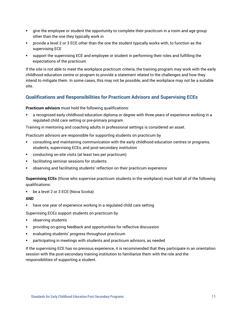- give the employee or student the opportunity to complete their practicum in a room and age group other than the one they typically work in
- provide a level 2 or 3 ECE other than the one the student typically works with, to function as the supervising ECE
- support the supervising ECE and employee or student in performing their roles and fulfilling the expectations of the practicum

If the site is not able to meet the workplace practicum criteria, the training program may work with the early childhood education centre or program to provide a statement related to the challenges and how they intend to mitigate them. In some cases, this may not be possible, and the workplace may not be a suitable site.

# **Qualifications and Responsibilities for Practicum Advisors and Supervising ECEs**

**Practicum advisors** must hold the following qualifications:

a recognized early childhood education diploma or degree with three years of experience working in a regulated child care setting or pre-primary program

Training in mentoring and coaching adults in professional settings is considered an asset.

Practicum advisors are responsible for supporting students on practicum by

- consulting and maintaining communication with the early childhood education centres or programs, students, supervising ECEs, and post-secondary institution
- conducting on-site visits (at least two per practicum)
- facilitating seminar sessions for students
- observing and facilitating students' reflection on their practicum experience

**Supervising ECEs** (those who supervise practicum students in the workplace) must hold all of the following qualifications:

■ be a level 2 or 3 ECE (Nova Scotia)

#### **AND**

■ have one year of experience working in a regulated child care setting

Supervising ECEs support students on practicum by

- observing students
- providing on-going feedback and opportunities for reflective discussion
- evaluating students' progress throughout practicum
- **EXP** participating in meetings with students and practicum advisors, as needed

If the supervising ECE has no previous experience, it is recommended that they participate in an orientation session with the post-secondary training institution to familiarize them with the role and the responsibilities of supporting a student.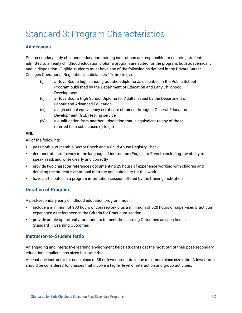# Standard 3: Program Characteristics

### **Admissions**

Post-secondary early childhood education training institutions are responsible for ensuring students admitted to an early childhood education diploma program are suited for the program, both academically and in disposition. Eligible students must have one of the following as defined in the Private Career Colleges Operational Regulations, subclauses 17(a)(i) to (iv):

- (i) a Nova Scotia high school graduation diploma as described in the Public School Program published by the Department of Education and Early Childhood Development,
- (ii) a Nova Scotia High School Diploma for Adults issued by the Department of Labour and Advanced Education,
- (iii) a high school equivalency certificate obtained through a General Education Development (GED) testing service,
- (iv) a qualification from another jurisdiction that is equivalent to any of those referred to in subclauses (i) to (iii)

#### **AND**

All of the following:

- pass both a Vulnerable Sector Check and a Child Abuse Registry Check
- **■** demonstrate proficiency in the language of instruction (English or French) including the ability to speak, read, and write clearly and correctly
- **•** provide two character references documenting 25 hours of experience working with children and detailing the student's emotional maturity and suitability for this work
- have participated in a program information session offered by the training institution

## **Duration of Program**

A post-secondary early childhood education program must

- include a minimum of 900 hours of coursework plus a minimum of 520 hours of supervised practicum experience as referenced in the Criteria for Practicum section
- **•** provide ample opportunity for students to meet the Learning Outcomes as specified in Standard 1: Learning Outcomes

### **Instructor-to-Student Ratio**

An engaging and interactive learning environment helps students get the most out of their post-secondary education; smaller class sizes facilitate this.

At least one instructor for each class of 35 or fewer students is the maximum class size ratio. A lower ratio should be considered for classes that involve a higher level of interaction and group activities.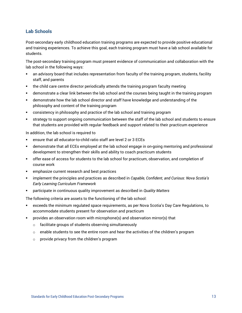# **Lab Schools**

Post-secondary early childhood education training programs are expected to provide positive educational and training experiences. To achieve this goal, each training program must have a lab school available for students.

The post-secondary training program must present evidence of communication and collaboration with the lab school in the following ways:

- **•** an advisory board that includes representation from faculty of the training program, students, facility staff, and parents
- the child care centre director periodically attends the training program faculty meeting
- **■** demonstrate a clear link between the lab school and the courses being taught in the training program
- demonstrate how the lab school director and staff have knowledge and understanding of the philosophy and content of the training program
- consistency in philosophy and practice of the lab school and training program
- **■** strategy to support ongoing communication between the staff of the lab school and students to ensure that students are provided with regular feedback and support related to their practicum experience

In addition, the lab school is required to

- ensure that all educator-to-child ratio staff are level 2 or 3 ECEs
- **EXED** demonstrate that all ECEs employed at the lab school engage in on-going mentoring and professional development to strengthen their skills and ability to coach practicum students
- **•** offer ease of access for students to the lab school for practicum, observation, and completion of course work
- emphasize current research and best practices
- implement the principles and practices as described in *Capable, Confident, and Curious: Nova Scotia's Early Learning Curriculum Framework*
- participate in continuous quality improvement as described in *Quality Matters*

The following criteria are assets to the functioning of the lab school:

- exceeds the minimum regulated space requirements, as per Nova Scotia's Day Care Regulations, to accommodate students present for observation and practicum
- provides an observation room with microphone(s) and observation mirror(s) that
	- o facilitate groups of students observing simultaneously
	- $\circ$  enable students to see the entire room and hear the activities of the children's program
	- o provide privacy from the children's program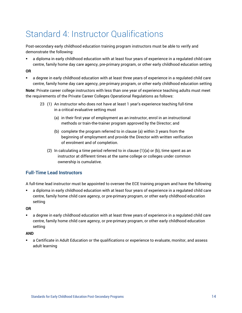# Standard 4: Instructor Qualifications

Post-secondary early childhood education training program instructors must be able to verify and demonstrate the following:

■ a diploma in early childhood education with at least four years of experience in a regulated child care centre, family home day care agency, pre-primary program, or other early childhood education setting

#### **OR**

■ a degree in early childhood education with at least three years of experience in a regulated child care centre, family home day care agency, pre-primary program, or other early childhood education setting

**Note:** Private career college instructors with less than one year of experience teaching adults must meet the requirements of the Private Career Colleges Operational Regulations as follows:

- 23 (1) An instructor who does not have at least 1 year's experience teaching full-time in a critical evaluative setting must
	- (a) in their first year of employment as an instructor, enrol in an instructional methods or train-the-trainer program approved by the Director; and
	- (b) complete the program referred to in clause (a) within 3 years from the beginning of employment and provide the Director with written verification of enrolment and of completion.
	- (2) In calculating a time period referred to in clause  $(1)(a)$  or  $(b)$ , time spent as an instructor at different times at the same college or colleges under common ownership is cumulative.

# **Full-Time Lead Instructors**

A full-time lead instructor must be appointed to oversee the ECE training program and have the following:

▪ a diploma in early childhood education with at least four years of experience in a regulated child care centre, family home child care agency, or pre-primary program, or other early childhood education setting

## **OR**

■ a degree in early childhood education with at least three years of experience in a regulated child care centre, family home child care agency, or pre-primary program, or other early childhood education setting

### **AND**

**•** a Certificate in Adult Education or the qualifications or experience to evaluate, monitor, and assess adult learning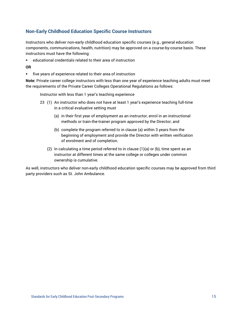## **Non-Early Childhood Education Specific Course Instructors**

Instructors who deliver non-early childhood education specific courses (e.g., general education components, communications, health, nutrition) may be approved on a course-by-course basis. These instructors must have the following:

■ educational credentials related to their area of instruction

#### **OR**

▪ five years of experience related to their area of instruction

**Note:** Private career college instructors with less than one year of experience teaching adults must meet the requirements of the Private Career Colleges Operational Regulations as follows:

Instructor with less than 1 year's teaching experience

- 23 (1) An instructor who does not have at least 1 year's experience teaching full-time in a critical evaluative setting must
	- (a) in their first year of employment as an instructor, enrol in an instructional methods or train-the-trainer program approved by the Director; and
	- (b) complete the program referred to in clause (a) within 3 years from the beginning of employment and provide the Director with written verification of enrolment and of completion.
	- (2) In calculating a time period referred to in clause  $(1)(a)$  or  $(b)$ , time spent as an instructor at different times at the same college or colleges under common ownership is cumulative.

As well, instructors who deliver non-early childhood education specific courses may be approved from third party providers such as St. John Ambulance.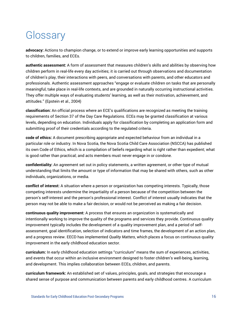# **Glossary**

**advocacy:** Actions to champion change, or to extend or improve early learning opportunities and supports to children, families, and ECEs.

**authentic assessment:** A form of assessment that measures children's skills and abilities by observing how children perform in real-life every day activities; it is carried out through observations and documentation of children's play, their interactions with peers, and conversations with parents, and other educators and professionals. Authentic assessment approaches "engage or evaluate children on tasks that are personally meaningful, take place in real-life contexts, and are grounded in naturally occurring instructional activities. They offer multiple ways of evaluating students' learning, as well as their motivation, achievement, and attitudes." (Epstein et al., 2004)

**classification:** An official process where an ECE's qualifications are recognized as meeting the training requirements of Section 37 of the Day Care Regulations. ECEs may be granted classification at various levels, depending on education. Individuals apply for classification by completing an application form and submitting proof of their credentials according to the regulated criteria.

**code of ethics:** A document prescribing appropriate and expected behaviour from an individual in a particular role or industry. In Nova Scotia, the Nova Scotia Child Care Association (NSCCA) has published its own Code of Ethics, which is a compilation of beliefs regarding what is right rather than expedient; what is good rather than practical; and acts members must never engage in or condone.

**confidentiality:** An agreement set out in policy statements, a written agreement, or other type of mutual understanding that limits the amount or type of information that may be shared with others, such as other individuals, organizations, or media.

**conflict of interest:** A situation where a person or organization has competing interests. Typically, those competing interests undermine the impartiality of a person because of the competition between the person's self-interest and the person's professional interest. Conflict of interest usually indicates that the person may not be able to make a fair decision, or would not be perceived as making a fair decision.

**continuous quality improvement:** A process that ensures an organization is systematically and intentionally working to improve the quality of the programs and services they provide. Continuous quality improvement typically includes the development of a quality improvement plan, and a period of selfassessment, goal identification, selection of indicators and time frames, the development of an action plan, and a progress review. EECD has implemented *Quality Matters*, which places a focus on continuous quality improvement in the early childhood education sector.

**curriculum:** In early childhood education settings "curriculum" means the sum of experiences, activities, and events that occur within an inclusive environment designed to foster children's well-being, learning, and development. This implies collaboration between ECEs, children, and parents.

**curriculum framework:** An established set of values, principles, goals, and strategies that encourage a shared sense of purpose and communication between parents and early childhood centres. A curriculum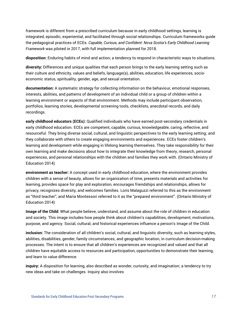framework is different from a prescribed curriculum because in early childhood settings, learning is integrated, episodic, experiential, and facilitated through social relationships. Curriculum frameworks guide the pedagogical practices of ECEs. *Capable, Curious, and Confident: Nova Scotia's Early Childhood Learning Framework* was piloted in 2017, with full implementation planned for 2018.

**disposition:** Enduring habits of mind and action; a tendency to respond in characteristic ways to situations.

**diversity:** Differences and unique qualities that each person brings to the early learning setting such as their culture and ethnicity, values and beliefs, language(s), abilities, education, life experiences, socioeconomic status, spirituality, gender, age, and sexual orientation.

**documentation:** A systematic strategy for collecting information on the behaviour, emotional responses, interests, abilities, and patterns of development of an individual child or a group of children within a learning environment or aspects of that environment. Methods may include participant observation, portfolios, learning stories, developmental screening tools, checklists, anecdotal records, and daily recordings.

**early childhood educators (ECEs):** Qualified individuals who have earned post-secondary credentials in early childhood education. ECEs are competent, capable, curious, knowledgeable, caring, reflective, and resourceful. They bring diverse social, cultural, and linguistic perspectives to the early learning setting; and they collaborate with others to create engaging environments and experiences. ECEs foster children's learning and development while engaging in lifelong learning themselves. They take responsibility for their own learning and make decisions about how to integrate their knowledge from theory, research, personal experiences, and personal relationships with the children and families they work with. (Ontario Ministry of Education 2014)

**environment as teacher:** A concept used in early childhood education, where the environment provides children with a sense of beauty, allows for an organization of time, presents materials and activities for learning, provides space for play and exploration, encourages friendships and relationships, allows for privacy, recognizes diversity, and welcomes families. Loris Malaguzzi referred to this as the environment as "third teacher", and Maria Montessori referred to it as the "prepared environment". (Ontario Ministry of Education 2014)

**Image of the Child:** What people believe, understand, and assume about the role of children in education and society. This image includes how people think about children's capabilities, development, motivations, purpose, and agency. Social, cultural, and historical experiences influence a person's Image of the Child.

**inclusion:** The consideration of all children's social, cultural, and linguistic diversity, such as learning styles, abilities, disabilities, gender, family circumstances, and geographic location, in curriculum decision-making processes. The intent is to ensure that all children's experiences are recognized and valued and that all children have equitable access to resources and participation, opportunities to demonstrate their learning, and learn to value difference.

**inquiry:** A disposition for learning, also described as wonder, curiosity, and imagination; a tendency to try new ideas and take on challenges. Inquiry also involves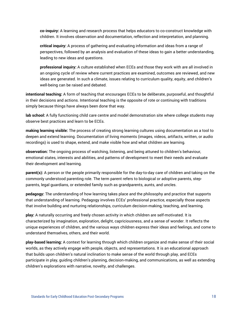**co-inquiry:** A learning and research process that helps educators to co-construct knowledge with children. It involves observation and documentation, reflection and interpretation, and planning.

**critical inquiry:** A process of gathering and evaluating information and ideas from a range of perspectives, followed by an analysis and evaluation of these ideas to gain a better understanding, leading to new ideas and questions.

**professional inquiry:** A culture established when ECEs and those they work with are all involved in an ongoing cycle of review where current practices are examined, outcomes are reviewed, and new ideas are generated. In such a climate, issues relating to curriculum quality, equity, and children's well-being can be raised and debated.

**intentional teaching:** A form of teaching that encourages ECEs to be deliberate, purposeful, and thoughtful in their decisions and actions. Intentional teaching is the opposite of rote or continuing with traditions simply because things have always been done that way.

**lab school:** A fully functioning child care centre and model demonstration site where college students may observe best practices and learn to be ECEs.

**making learning visible:** The process of creating strong learning cultures using documentation as a tool to deepen and extend learning. Documentation of living moments (images, videos, artifacts, written, or audio recordings) is used to shape, extend, and make visible how and what children are learning.

**observation:** The ongoing process of watching, listening, and being attuned to children's behaviour, emotional states, interests and abilities, and patterns of development to meet their needs and evaluate their development and learning.

**parent(s):** A person or the people primarily responsible for the day-to-day care of children and taking on the commonly understood parenting role. The term parent refers to biological or adoptive parents, stepparents, legal guardians, or extended family such as grandparents, aunts, and uncles.

**pedagogy:** The understanding of how learning takes place and the philosophy and practice that supports that understanding of learning. Pedagogy involves ECEs' professional practice, especially those aspects that involve building and nurturing relationships, curriculum decision-making, teaching, and learning.

**play:** A naturally occurring and freely chosen activity in which children are self-motivated. It is characterized by imagination, exploration, delight, capriciousness, and a sense of wonder. It reflects the unique experiences of children, and the various ways children express their ideas and feelings, and come to understand themselves, others, and their world.

**play-based learning:** A context for learning through which children organize and make sense of their social worlds, as they actively engage with people, objects, and representations. It is an educational approach that builds upon children's natural inclination to make sense of the world through play, and ECEs participate in play, guiding children's planning, decision-making, and communications, as well as extending children's explorations with narrative, novelty, and challenges.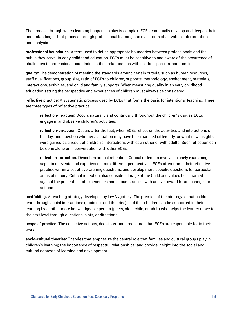The process through which learning happens in play is complex. ECEs continually develop and deepen their understanding of that process through professional learning and classroom observation, interpretation, and analysis.

**professional boundaries:** A term used to define appropriate boundaries between professionals and the public they serve. In early childhood education, ECEs must be sensitive to and aware of the occurrence of challenges to professional boundaries in their relationships with children, parents, and families.

**quality:** The demonstration of meeting the standards around certain criteria, such as human resources, staff qualifications, group size, ratio of ECEs-to-children, supports, methodology, environment, materials, interactions, activities, and child and family supports. When measuring quality in an early childhood education setting the perspective and experiences of children must always be considered.

**reflective practice:** A systematic process used by ECEs that forms the basis for intentional teaching. There are three types of reflective practice:

**reflection-in-action:** Occurs naturally and continually throughout the children's day, as ECEs engage in and observe children's activities.

**reflection-on-action:** Occurs after the fact, when ECEs reflect on the activities and interactions of the day, and question whether a situation may have been handled differently, or what new insights were gained as a result of children's interactions with each other or with adults. Such reflection can be done alone or in conversation with other ECEs.

**reflection-for-action:** Describes critical reflection. Critical reflection involves closely examining all aspects of events and experiences from different perspectives. ECEs often frame their reflective practice within a set of overarching questions, and develop more specific questions for particular areas of inquiry. Critical reflection also considers Image of the Child and values held, framed against the present set of experiences and circumstances, with an eye toward future changes or actions.

**scaffolding:** A teaching strategy developed by Lev Vygotsky. The premise of the strategy is that children learn through social interactions (socio-cultural theories), and that children can be supported in their learning by another more knowledgeable person (peers, older child, or adult) who helps the learner move to the next level through questions, hints, or directions.

**scope of practice:** The collective actions, decisions, and procedures that ECEs are responsible for in their work.

**socio-cultural theories:** Theories that emphasize the central role that families and cultural groups play in children's learning; the importance of respectful relationships; and provide insight into the social and cultural contexts of learning and development.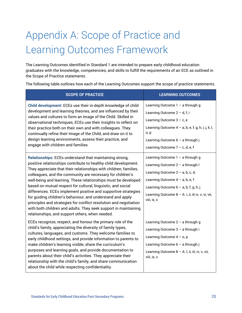# Appendix A: Scope of Practice and Learning Outcomes Framework

The Learning Outcomes identified in Standard 1 are intended to prepare early childhood education graduates with the knowledge, competencies, and skills to fulfill the requirements of an ECE as outlined in the Scope of Practice statements.

The following table outlines how each of the Learning Outcomes support the scope of practice statements.

| <b>SCOPE OF PRACTICE</b>                                                                                                                                                                                                                                                                                                                                                                                                                                                                                                                                                                                                                                                                                                   | <b>LEARNING OUTCOMES</b>                                                                                                                                                                                                                                           |
|----------------------------------------------------------------------------------------------------------------------------------------------------------------------------------------------------------------------------------------------------------------------------------------------------------------------------------------------------------------------------------------------------------------------------------------------------------------------------------------------------------------------------------------------------------------------------------------------------------------------------------------------------------------------------------------------------------------------------|--------------------------------------------------------------------------------------------------------------------------------------------------------------------------------------------------------------------------------------------------------------------|
| Child development: ECEs use their in-depth knowledge of child<br>development and learning theories, and are influenced by their<br>values and cultures to form an Image of the Child. Skilled in<br>observational techniques, ECEs use their insights to reflect on<br>their practice both on their own and with colleagues. They<br>continually refine their Image of the Child, and draw on it to<br>design learning environments, assess their practice, and<br>engage with children and families.                                                                                                                                                                                                                      | Learning Outcome $1 - a$ through g<br>Learning Outcome $2 - d$ , f, i<br>Learning Outcome $3 - c$ , e<br>Learning Outcome $4 - a$ , b, e, f, g, h, i, j, k, l,<br>o, p<br>Learning Outcome 6 - a through j<br>Learning Outcome $7 - c$ , d, e, f                   |
| Relationships: ECEs understand that maintaining strong,<br>positive relationships contribute to healthy child development.<br>They appreciate that their relationships with children, families,<br>colleagues, and the community are necessary for children's<br>well-being and learning. These relationships must be developed<br>based on mutual respect for cultural, linguistic, and social<br>differences. ECEs implement positive and supportive strategies<br>for guiding children's behaviour, and understand and apply<br>principles and strategies for conflict resolution and negotiation<br>with both children and adults. They seek support in maintaining<br>relationships, and support others, when needed. | Learning Outcome 1 - a through g<br>Learning Outcome 2 - a through I<br>Learning Outcome $3 - a$ , b, c, d,<br>Learning Outcome $4 - a$ , b, e, f<br>Learning Outcome $6 - a$ , b, f, g, h, j<br>Learning Outcome 8 - A: i, ii, iii iv, v, vi, vii,<br>viii, ix, x |
| ECEs recognize, respect, and honour the primary role of the<br>child's family, appreciating the diversity of family types,<br>cultures, languages, and customs. They welcome families to<br>early childhood settings, and provide information to parents to<br>make children's learning visible, share the curriculum's<br>purposes and learning goals, and provide documentation to<br>parents about their child's activities. They appreciate their<br>relationship with the child's family, and share communication<br>about the child while respecting confidentiality.                                                                                                                                                | Learning Outcome $2 - a$ through g<br>Learning Outcome 3 - a through i<br>Learning Outcome $4 - o$ , p<br>Learning Outcome $6 - a$ through j<br>Learning Outcome 8 - A: I, ii, iii, iv, v, vii,<br>viii, ix, x                                                     |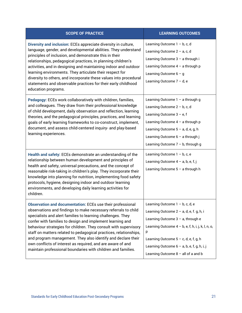| <b>SCOPE OF PRACTICE</b>                                                                                                                                                                                                                                                                                                                                                                                                                                                                                                                                                                                | <b>LEARNING OUTCOMES</b>                                                                                                                                                                                                                                                                                                       |
|---------------------------------------------------------------------------------------------------------------------------------------------------------------------------------------------------------------------------------------------------------------------------------------------------------------------------------------------------------------------------------------------------------------------------------------------------------------------------------------------------------------------------------------------------------------------------------------------------------|--------------------------------------------------------------------------------------------------------------------------------------------------------------------------------------------------------------------------------------------------------------------------------------------------------------------------------|
| Diversity and inclusion: ECEs appreciate diversity in culture,<br>language, gender, and developmental abilities. They understand<br>principles of inclusion, and demonstrate this in their<br>relationships, pedagogical practices, in planning children's<br>activities, and in designing and maintaining indoor and outdoor<br>learning environments. They articulate their respect for<br>diversity to others, and incorporate these values into procedural<br>statements and observable practices for their early childhood<br>education programs.                                                  | Learning Outcome $1 - b$ , c, d<br>Learning Outcome $2 - a$ , c, d<br>Learning Outcome 3 - a through i<br>Learning Outcome $4 - a$ through p<br>Learning Outcome $6 - g$<br>Learning Outcome 7 - d, e                                                                                                                          |
| Pedagogy: ECEs work collaboratively with children, families,<br>and colleagues. They draw from their professional knowledge<br>of child development, daily observation and reflection, learning<br>theories, and the pedagogical principles, practices, and learning<br>goals of early learning frameworks to co-construct, implement,<br>document, and assess child-centered inquiry- and play-based<br>learning experiences.                                                                                                                                                                          | Learning Outcome $1 - a$ through g<br>Learning Outcome $2 - b$ , c, d<br>Learning Outcome $3 - e$ , f<br>Learning Outcome $4 - a$ through p<br>Learning Outcome 5 - a, d, e, g, h<br>Learning Outcome 6 - a through j<br>Learning Outcome $7 - b$ , through g                                                                  |
| Health and safety: ECEs demonstrate an understanding of the<br>relationship between human development and principles of<br>health and safety, universal precautions, and the concept of<br>reasonable risk-taking in children's play. They incorporate their<br>knowledge into planning for nutrition, implementing food safety<br>protocols, hygiene, designing indoor and outdoor learning<br>environments, and developing daily learning activities for<br>children.                                                                                                                                 | Learning Outcome $1 - b$ , c, e<br>Learning Outcome $4 - a$ , b, e, f, j<br>Learning Outcome $5 - a$ through h                                                                                                                                                                                                                 |
| <b>Observation and documentation: ECEs use their professional</b><br>observations and findings to make necessary referrals to child<br>specialists and alert families to learning challenges. They<br>confer with families to design and implement learning and<br>behaviour strategies for children. They consult with supervisory<br>staff on matters related to pedagogical practices, relationships,<br>and program management. They also identify and declare their<br>own conflicts of interest as required, and are aware of and<br>maintain professional boundaries with children and families. | Learning Outcome $1 - b$ , c, d, e<br>Learning Outcome $2 - a$ , d, e, f. g, h, i<br>Learning Outcome $3 - a$ , through e<br>Learning Outcome $4 - b$ , e, f, h, i, j, k, l, n, o,<br>р<br>Learning Outcome $5 - c$ , d, e, f, g, h<br>Learning Outcome $6 - a$ , b, e, f, g, h, i, j<br>Learning Outcome $8 -$ all of a and b |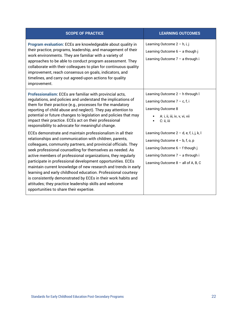| <b>SCOPE OF PRACTICE</b>                                                                                                                                                                                                                                                                                                                                                                                                                                                                                                                                                                                                                                                                      | <b>LEARNING OUTCOMES</b>                                                                                                                                                                           |
|-----------------------------------------------------------------------------------------------------------------------------------------------------------------------------------------------------------------------------------------------------------------------------------------------------------------------------------------------------------------------------------------------------------------------------------------------------------------------------------------------------------------------------------------------------------------------------------------------------------------------------------------------------------------------------------------------|----------------------------------------------------------------------------------------------------------------------------------------------------------------------------------------------------|
| Program evaluation: ECEs are knowledgeable about quality in<br>their practice, programs, leadership, and management of their<br>work environments. They are familiar with a variety of<br>approaches to be able to conduct program assessment. They<br>collaborate with their colleagues to plan for continuous quality<br>improvement, reach consensus on goals, indicators, and<br>timelines, and carry out agreed-upon actions for quality<br>improvement.                                                                                                                                                                                                                                 | Learning Outcome 2 - h, i, j<br>Learning Outcome $6 - a$ though j<br>Learning Outcome 7 - a through i                                                                                              |
| Professionalism: ECEs are familiar with provincial acts,<br>regulations, and policies and understand the implications of<br>them for their practice (e.g., processes for the mandatory<br>reporting of child abuse and neglect). They pay attention to<br>potential or future changes to legislation and policies that may<br>impact their practice. ECEs act on their professional<br>responsibility to advocate for meaningful change.                                                                                                                                                                                                                                                      | Learning Outcome 2 - h through I<br>Learning Outcome $7 - c$ , f, i<br>Learning Outcome 8<br>A: i, ii, iii, iv, v, vi, vii<br>C: ii, iii                                                           |
| ECEs demonstrate and maintain professionalism in all their<br>relationships and communication with children, parents,<br>colleagues, community partners, and provincial officials. They<br>seek professional counselling for themselves as needed. As<br>active members of professional organizations, they regularly<br>participate in professional development opportunities. ECEs<br>maintain current knowledge of new research and trends in early<br>learning and early childhood education. Professional courtesy<br>is consistently demonstrated by ECEs in their work habits and<br>attitudes; they practice leadership skills and welcome<br>opportunities to share their expertise. | Learning Outcome 2 - d, e, f, i, j, k, l<br>Learning Outcome $4 - b$ , f, o, p<br>Learning Outcome $6 - f$ though j<br>Learning Outcome $7 - a$ through i<br>Learning Outcome $8 -$ all of A, B, C |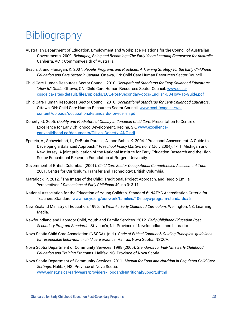# **Bibliography**

- Australian Department of Education, Employment and Workplace Relations for the Council of Australian Governments*.* 2009*. Belonging, Being and Becoming—The Early Years Learning Framework for Australia.* Canberra, ACT: Commonwealth of Australia.
- Beach, J. and Flanagan, K. 2007. *People, Programs and Practices: A Training Strategy for the Early Childhood Education and Care Sector in Canada.* Ottawa, ON: Child Care Human Resources Sector Council.
- Child Care Human Resources Sector Council. 2010. *Occupational Standards for Early Childhood Educators: "How to*" *Guide*. Ottawa, ON: Child Care Human Resources Sector Council. [www.ccsc](http://www.ccsc-cssge.ca/sites/default/files/uploads/ECE-Post-Secondary-docs/English-OS-How-To-Guide.pdf)[cssge.ca/sites/default/files/uploads/ECE-Post-Secondary-docs/English-OS-How-To-Guide.pdf](http://www.ccsc-cssge.ca/sites/default/files/uploads/ECE-Post-Secondary-docs/English-OS-How-To-Guide.pdf)
- Child Care Human Resources Sector Council. 2010. *Occupational Standards for Early Childhood Educators*. Ottawa, ON: Child Care Human Resources Sector Council. www.cccf-fcsge.ca/wpcontent/uploads/occupational-standards-for-ece\_en.pdf
- Doherty, G. 2005. *Quality and Predictors of Quality in Canadian Child Care*. Presentation to Centre of Excellence for Early Childhood Development, Regina, SK. [www.excellence](file://///filesrv1.prov.gov.ns.ca/shr-EDUC/PUBLICAT/Early%20Years/Standards%20for%20Early%20Childhood%20Education%20Post%20Secondary%20Programs/English/Text/www.excellence-earlychildhood.ca/documents/Gillian_Doherty_ANG.pdf)[earlychildhood.ca/documents/Gillian\\_Doherty\\_ANG.pdf.](file://///filesrv1.prov.gov.ns.ca/shr-EDUC/PUBLICAT/Early%20Years/Standards%20for%20Early%20Childhood%20Education%20Post%20Secondary%20Programs/English/Text/www.excellence-earlychildhood.ca/documents/Gillian_Doherty_ANG.pdf)
- Epstein, A., Schweinhart, L., DeBruin-Parecki, A., and Robin, K. 2004. "Preschool Assessment: A Guide to Developing a Balanced Approach." *Preschool Policy Matters* no. 7 (July 2004): 1-11. Michigan and New Jersey: A joint publication of the National Institute for Early Education Research and the High Scope Educational Research Foundation at Rutgers University.
- Government of British Columbia. (2001). *Child Care Sector Occupational Competencies Assessment Tool.*  2001. Centre for Curriculum, Transfer and Technology: British Columbia.
- Martalock, P. 2012. "The Image of the Child: Traditional, Project Approach, and Reggio Emilia Perspectives." *Dimensions of Early Childhood* 40, no 3: 3-11.
- National Association for the Education of Young Children. Standard 6: NAEYC Accreditation Criteria for Teachers Standard. [www.naeyc.org/our-work/families/10-naeyc-program-standards#6](http://www.naeyc.org/our-work/families/10-naeyc-program-standards#6)
- New Zealand Ministry of Education. 1996. *Te Whãriki. Early Childhood Curriculum.* Wellington, NZ: Learning Media.
- Newfoundland and Labrador Child, Youth and Family Services. 2012. *Early Childhood Education Post-Secondary Program Standards*. St. John's, NL: Province of Newfoundland and Labrador.
- Nova Scotia Child Care Association (NSCCA). (n.d.). *Code of Ethical Conduct & Guiding Principles: guidelines for responsible behaviour in child care practice*. Halifax, Nova Scotia: NSCCA.
- Nova Scotia Department of Community Services. 1998 (2005). *Standards for Full-Time Early Childhood Education and Training Programs*. Halifax, NS: Province of Nova Scotia.
- Nova Scotia Department of Community Services. 2011. *Manual for Food and Nutrition in Regulated Child Care Settings*. Halifax, NS: Province of Nova Scotia. [www.ednet.ns.ca/earlyyears/providers/FoodandNutritionalSupport.shtml](http://www.ednet.ns.ca/earlyyears/providers/FoodandNutritionalSupport.shtml)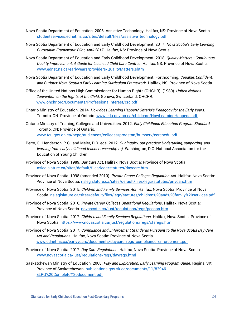- Nova Scotia Department of Education. 2006. Assistive Technology. Halifax, NS: Province of Nova Scotia. [studentservices.ednet.ns.ca/sites/default/files/assistive\\_technology.pdf](https://studentservices.ednet.ns.ca/sites/default/files/assistive_technology.pdf)
- Nova Scotia Department of Education and Early Childhood Development. 2017. *Nova Scotia's Early Learning Curriculum Framework: Pilot, April 2017*. Halifax, NS: Province of Nova Scotia.
- Nova Scotia Department of Education and Early Childhood Development. 2018. *Quality Matters—Continuous Quality Improvement: A Guide for Licensed Child Care Centres*. Halifax, NS: Province of Nova Scotia. [www.ednet.ns.ca/earlyyears/providers/QualityMatters.shtm](http://www.ednet.ns.ca/earlyyears/providers/QualityMatters.shtm)
- Nova Scotia Department of Education and Early Childhood Development. Forthcoming. *Capable, Confident, and Curious: Nova Scotia's Early Learning Curriculum Framework.* Halifax, NS: Province of Nova Scotia.
- Office of the United Nations High Commissioner for Human Rights (OHCHR). (1989). *United Nations Convention on the Rights of the Child*. Geneva, Switzerland: OHCHR. [www.ohchr.org/Documents/ProfessionalInterest/crc.pdf](http://www.ohchr.org/Documents/ProfessionalInterest/crc.pdf)
- Ontario Ministry of Education. 2014. *How does Learning Happen? Ontario's Pedagogy for the Early Years.*  Toronto, ON: Province of Ontario. [www.edu.gov.on.ca/childcare/HowLearningHappens.pdf](file://///filesrv1.prov.gov.ns.ca/shr-EDUC/PUBLICAT/Early%20Years/Standards%20for%20Early%20Childhood%20Education%20Post%20Secondary%20Programs/English/Text/www.edu.gov.on.ca/childcare/HowLearningHappens.pdf)
- Ontario Ministry of Training, Colleges and Universities. 2012. *Early Childhood Education Program Standard.* Toronto, ON: Province of Ontario. [www.tcu.gov.on.ca/pepg/audiences/colleges/progstan/humserv/eerchedu.pdf](http://www.tcu.gov.on.ca/pepg/audiences/colleges/progstan/humserv/eerchedu.pdf)
- Perry, G., Henderson, P.G., and Meier, D.R. eds. 2012. *Our inquiry, our practice: Undertaking, supporting, and learning from early childhood teacher research(ers).* Washington, D.C: National Association for the Education of Young Children.
- Province of Nova Scotia. 1989. *Day Care Act*. Halifax, Nova Scotia: Province of Nova Scotia. [nslegislature.ca/sites/default/files/legc/statutes/daycare.htm](https://nslegislature.ca/sites/default/files/legc/statutes/daycare.htm)
- Province of Nova Scotia. 1998 (amended 2010). *Private Career Colleges Regulation Act*. Halifax, Nova Scotia: Province of Nova Scotia. [nslegislature.ca/sites/default/files/legc/statutes/privcarc.htm](https://nslegislature.ca/sites/default/files/legc/statutes/privcarc.htm)
- Province of Nova Scotia. 2015. *Children and Family Services Act*. Halifax, Nova Scotia: Province of Nova Scotia. [nslegislature.ca/sites/default/files/legc/statutes/children%20and%20family%20services.pdf](https://nslegislature.ca/sites/default/files/legc/statutes/children%20and%20family%20services.pdf)
- Province of Nova Scotia. 2016. *Private Career Colleges Operational Regulations*. Halifax, Nova Scotia: Province of Nova Scotia. [novascotia.ca/just/regulations/regs/pccops.htm](https://novascotia.ca/just/regulations/regs/pccops.htm)
- Province of Nova Scotia. 2017. *Children and Family Services Regulations*. Halifax, Nova Scotia: Province of Nova Scotia. <https://www.novascotia.ca/just/regulations/regs/cfsregs.htm>
- Province of Nova Scotia. 2017. *Compliance and Enforcement Standards Pursuant to the Nova Scotia Day Care Act and Regulations*. Halifax, Nova Scotia: Province of Nova Scotia. [www.ednet.ns.ca/earlyyears/documents/daycare\\_regs\\_compliance\\_enforcement.pdf](http://www.ednet.ns.ca/earlyyears/documents/daycare_regs_compliance_enforcement.pdf)
- Province of Nova Scotia. 2017. *Day Care Regulations*. Halifax, Nova Scotia: Province of Nova Scotia. [www.novascotia.ca/just/regulations/regs/dayregs.html](http://www.novascotia.ca/just/regulations/regs/dayregs.html)
- Saskatchewan Ministry of Education. 2008. *Play and Exploration: Early Learning Program Guide*. Regina, SK: Province of Saskatchewan. [publications.gov.sk.ca/documents/11/82946-](http://publications.gov.sk.ca/documents/11/82946-ELPG%20Complete%20document.pdf) [ELPG%20Complete%20document.pdf](http://publications.gov.sk.ca/documents/11/82946-ELPG%20Complete%20document.pdf)